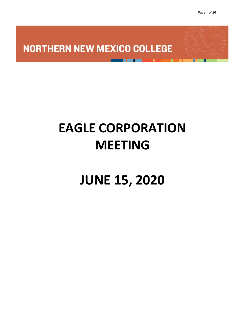### **NORTHERN NEW MEXICO COLLEGE**

# **EAGLE CORPORATION MEETING**

## **JUNE 15, 2020**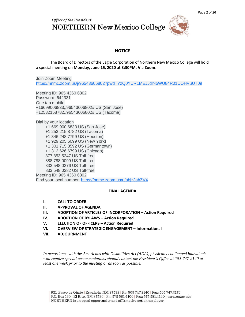Office of the President **NORTHERN New Mexico College** 



#### **NOTICE**

The Board of Directors of the Eagle Corporation of Northern New Mexico College will hold a special meeting on **Monday, June 15, 2020 at 3:30PM, Via Zoom**.

Join Zoom Meeting [https://nnmc.zoom.us/j/96543606802?pwd=YzQ0YUR1MEJJdlN5WU84R01UOHVuUT09](https://www.google.com/url?q=https://nnmc.zoom.us/j/96543606802?pwd%3DYzQ0YUR1MEJJdlN5WU84R01UOHVuUT09&sa=D&ust=1592141940795000&usg=AOvVaw2wnjZ0cIQyy_Wx0XnmM3OO)

Meeting ID: 965 4360 6802 Password: 642331 One tap mobile +16699006833,,96543606802# US (San Jose) +12532158782,,96543606802# US (Tacoma)

Dial by your location +1 669 900 6833 US (San Jose) +1 253 215 8782 US (Tacoma) +1 346 248 7799 US (Houston) +1 929 205 6099 US (New York) +1 301 715 8592 US (Germantown) +1 312 626 6799 US (Chicago) 877 853 5247 US Toll-free 888 788 0099 US Toll-free 833 548 0276 US Toll-free 833 548 0282 US Toll-free Meeting ID: 965 4360 6802 Find your local number: [https://nnmc.zoom.us/u/abjz3shZVX](https://www.google.com/url?q=https://nnmc.zoom.us/u/abjz3shZVX&sa=D&ust=1592141940795000&usg=AOvVaw2nfGb7SSdyzdEh7wU3NsJ7)

#### **FINAL AGENDA**

- **I. CALL TO ORDER**
- **II. APPROVAL OF AGENDA**
- **III. ADOPTION OF ARTICLES OF INCORPORATION – Action Required**
- **IV. ADOPTION OF BYLAWS Action Required**
- **V. ELECTION OF OFFICERS – Action Required**
- **VI. OVERVIEW OF STRATEGIC ENGAGEMENT – Informational**
- **VII. ADJOURNMENT**

*In accordance with the Americans with Disabilities Act (ADA), physically challenged individuals who require special accommodations should contact the President's Office at 505-747-2140 at least one week prior to the meeting or as soon as possible.*

P.O. Box 160 | El Rito, NM 87530 | Ph: 575 581.4100 | Fax: 575 581.4140 | www.nnmc.edu NORTHERN is an equal opportunity and affirmative action employer.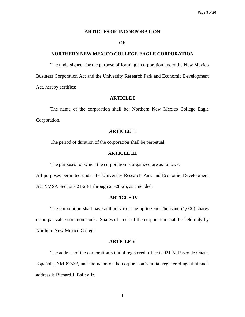#### **ARTICLES OF INCORPORATION**

#### **OF**

#### **NORTHERN NEW MEXICO COLLEGE EAGLE CORPORATION**

The undersigned, for the purpose of forming a corporation under the New Mexico Business Corporation Act and the University Research Park and Economic Development Act, hereby certifies:

#### **ARTICLE I**

The name of the corporation shall be: Northern New Mexico College Eagle Corporation.

#### **ARTICLE II**

The period of duration of the corporation shall be perpetual.

#### **ARTICLE III**

The purposes for which the corporation is organized are as follows:

All purposes permitted under the University Research Park and Economic Development Act NMSA Sections 21-28-1 through 21-28-25, as amended;

#### **ARTICLE IV**

The corporation shall have authority to issue up to One Thousand (1,000) shares of no-par value common stock. Shares of stock of the corporation shall be held only by Northern New Mexico College.

#### **ARTICLE V**

The address of the corporation's initial registered office is 921 N. Paseo de Oñate, Española, NM 87532, and the name of the corporation's initial registered agent at such address is Richard J. Bailey Jr.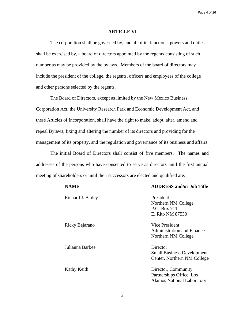Page 4 of 26

#### **ARTICLE VI**

The corporation shall be governed by, and all of its functions, powers and duties shall be exercised by, a board of directors appointed by the regents consisting of such number as may be provided by the bylaws. Members of the board of directors may include the president of the college, the regents, officers and employees of the college and other persons selected by the regents.

The Board of Directors, except as limited by the New Mexico Business Corporation Act, the University Research Park and Economic Development Act, and these Articles of Incorporation, shall have the right to make, adopt, alter, amend and repeal Bylaws, fixing and altering the number of its directors and providing for the management of its property, and the regulation and governance of its business and affairs.

The initial Board of Directors shall consist of five members. The names and addresses of the persons who have consented to serve as directors until the first annual meeting of shareholders or until their successors are elected and qualified are:

#### **NAME ADDRESS and/or Job Title**

| Richard J. Bailey | President<br>Northern NM College<br>P.O. Box 711<br>El Rito NM 87530                 |
|-------------------|--------------------------------------------------------------------------------------|
| Ricky Bejarano    | <b>Vice President</b><br><b>Administration and Finance</b><br>Northern NM College    |
| Julianna Barbee   | Director<br><b>Small Business Development</b><br>Center, Northern NM College         |
| Kathy Keith       | Director, Community<br>Partnerships Office, Los<br><b>Alamos National Laboratory</b> |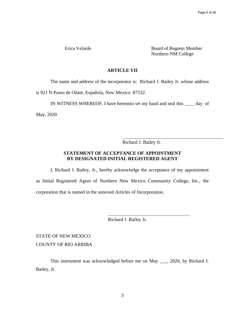Erica Velarde Board of Regents Member Northern NM College

#### **ARTICLE VII**

The name and address of the incorporator is: Richard J. Bailey Jr. whose address

is 921 N Paseo de Oñate, Española, New Mexico 87532.

IN WITNESS WHEREOF, I have hereunto set my hand and seal this  $\_\_\_\_day$  of

May, 2020

Richard J. Bailey Jr.

 $\overline{a}$ 

#### **STATEMENT OF ACCEPTANCE OF APPOINTMENT BY DESIGNATED INITIAL REGISTERED AGENT**

I, Richard J. Bailey, Jr., hereby acknowledge the acceptance of my appointment as Initial Registered Agent of Northern New Mexico Community College, Inc., the corporation that is named in the annexed Articles of Incorporation.

Richard J. Bailey Jr.

STATE OF NEW MEXICO COUNTY OF RIO ARRIBA

This instrument was acknowledged before me on May \_\_\_, 2020, by Richard J. Bailey, Jr.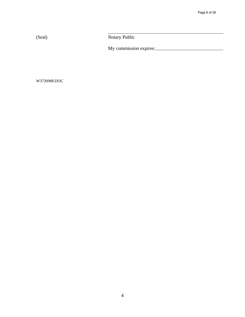(Seal) Notary Public

My commission expires:

W3730988.DOC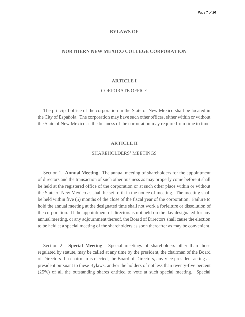#### **BYLAWS OF**

#### **NORTHERN NEW MEXICO COLLEGE CORPORATION**

#### **ARTICLE I**

#### CORPORATE OFFICE

The principal office of the corporation in the State of New Mexico shall be located in the City of Española. The corporation may have such other offices, either within or without the State of New Mexico as the business of the corporation may require from time to time.

#### **ARTICLE II**

#### SHAREHOLDERS' MEETINGS

Section 1. **Annual Meeting**. The annual meeting of shareholders for the appointment of directors and the transaction of such other business as may properly come before it shall be held at the registered office of the corporation or at such other place within or without the State of New Mexico as shall be set forth in the notice of meeting. The meeting shall be held within five (5) months of the close of the fiscal year of the corporation. Failure to hold the annual meeting at the designated time shall not work a forfeiture or dissolution of the corporation. If the appointment of directors is not held on the day designated for any annual meeting, or any adjournment thereof, the Board of Directors shall cause the election to be held at a special meeting of the shareholders as soon thereafter as may be convenient.

Section 2. **Special Meeting**. Special meetings of shareholders other than those regulated by statute, may be called at any time by the president, the chairman of the Board of Directors if a chairman is elected, the Board of Directors, any vice president acting as president pursuant to these Bylaws, and/or the holders of not less than twenty-five percent (25%) of all the outstanding shares entitled to vote at such special meeting. Special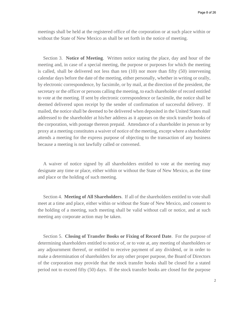meetings shall be held at the registered office of the corporation or at such place within or without the State of New Mexico as shall be set forth in the notice of meeting.

Section 3. **Notice of Meeting**. Written notice stating the place, day and hour of the meeting and, in case of a special meeting, the purpose or purposes for which the meeting is called, shall be delivered not less than ten (10) nor more than fifty (50) intervening calendar days before the date of the meeting, either personally, whether in writing or orally, by electronic correspondence, by facsimile, or by mail, at the direction of the president, the secretary or the officer or persons calling the meeting, to each shareholder of record entitled to vote at the meeting. If sent by electronic correspondence or facsimile, the notice shall be deemed delivered upon receipt by the sender of confirmation of successful delivery. If mailed, the notice shall be deemed to be delivered when deposited in the United States mail addressed to the shareholder at his/her address as it appears on the stock transfer books of the corporation, with postage thereon prepaid. Attendance of a shareholder in person or by proxy at a meeting constitutes a waiver of notice of the meeting, except where a shareholder attends a meeting for the express purpose of objecting to the transaction of any business because a meeting is not lawfully called or convened.

A waiver of notice signed by all shareholders entitled to vote at the meeting may designate any time or place, either within or without the State of New Mexico, as the time and place or the holding of such meeting.

Section 4. **Meeting of All Shareholders**. If all of the shareholders entitled to vote shall meet at a time and place, either within or without the State of New Mexico, and consent to the holding of a meeting, such meeting shall be valid without call or notice, and at such meeting any corporate action may be taken.

Section 5. **Closing of Transfer Books or Fixing of Record Date**. For the purpose of determining shareholders entitled to notice of, or to vote at, any meeting of shareholders or any adjournment thereof, or entitled to receive payment of any dividend, or in order to make a determination of shareholders for any other proper purpose, the Board of Directors of the corporation may provide that the stock transfer books shall be closed for a stated period not to exceed fifty (50) days. If the stock transfer books are closed for the purpose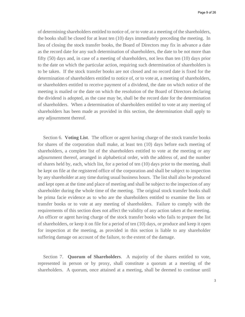of determining shareholders entitled to notice of, or to vote at a meeting of the shareholders, the books shall be closed for at least ten (10) days immediately preceding the meeting. In lieu of closing the stock transfer books, the Board of Directors may fix in advance a date as the record date for any such determination of shareholders, the date to be not more than fifty (50) days and, in case of a meeting of shareholders, not less than ten (10) days prior to the date on which the particular action, requiring such determination of shareholders is to be taken. If the stock transfer books are not closed and no record date is fixed for the determination of shareholders entitled to notice of, or to vote at, a meeting of shareholders, or shareholders entitled to receive payment of a dividend, the date on which notice of the meeting is mailed or the date on which the resolution of the Board of Directors declaring the dividend is adopted, as the case may be, shall be the record date for the determination of shareholders. When a determination of shareholders entitled to vote at any meeting of shareholders has been made as provided in this section, the determination shall apply to any adjournment thereof.

Section 6. **Voting List**. The officer or agent having charge of the stock transfer books for shares of the corporation shall make, at least ten (10) days before each meeting of shareholders, a complete list of the shareholders entitled to vote at the meeting or any adjournment thereof, arranged in alphabetical order, with the address of, and the number of shares held by, each, which list, for a period of ten (10) days prior to the meeting, shall be kept on file at the registered office of the corporation and shall be subject to inspection by any shareholder at any time during usual business hours. The list shall also be produced and kept open at the time and place of meeting and shall be subject to the inspection of any shareholder during the whole time of the meeting. The original stock transfer books shall be prima facie evidence as to who are the shareholders entitled to examine the lists or transfer books or to vote at any meeting of shareholders. Failure to comply with the requirements of this section does not affect the validity of any action taken at the meeting. An officer or agent having charge of the stock transfer books who fails to prepare the list of shareholders, or keep it on file for a period of ten (10) days, or produce and keep it open for inspection at the meeting, as provided in this section is liable to any shareholder suffering damage on account of the failure, to the extent of the damage.

Section 7. **Quorum of Shareholders**. A majority of the shares entitled to vote, represented in person or by proxy, shall constitute a quorum at a meeting of the shareholders. A quorum, once attained at a meeting, shall be deemed to continue until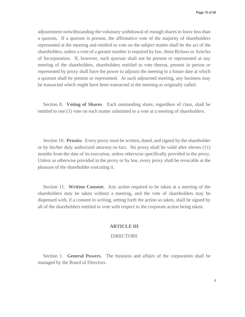adjournment notwithstanding the voluntary withdrawal of enough shares to leave less than a quorum. If a quorum is present, the affirmative vote of the majority of shareholders represented at the meeting and entitled to vote on the subject matter shall be the act of the shareholders, unless a vote of a greater number is required by law, these Bylaws or Articles of Incorporation. If, however, such quorum shall not be present or represented at any meeting of the shareholders, shareholders entitled to vote thereat, present in person or represented by proxy shall have the power to adjourn the meeting to a future date at which a quorum shall be present or represented. At such adjourned meeting, any business may be transacted which might have been transacted at the meeting as originally called.

Section 8. **Voting of Shares**. Each outstanding share, regardless of class, shall be entitled to one (1) vote on each matter submitted to a vote at a meeting of shareholders.

Section 10. **Proxies**. Every proxy must be written, dated, and signed by the shareholder or by his/her duly authorized attorney-in-fact. No proxy shall be valid after eleven (11) months from the date of its execution, unless otherwise specifically provided in the proxy. Unless as otherwise provided in the proxy or by law, every proxy shall be revocable at the pleasure of the shareholder executing it.

Section 11. **Written Consent**. Any action required to be taken at a meeting of the shareholders may be taken without a meeting, and the vote of shareholders may be dispensed with, if a consent in writing, setting forth the action so taken, shall be signed by all of the shareholders entitled to vote with respect to the corporate action being taken.

#### **ARTICLE III**

#### **DIRECTORS**

Section 1. **General Powers**. The business and affairs of the corporation shall be managed by the Board of Directors.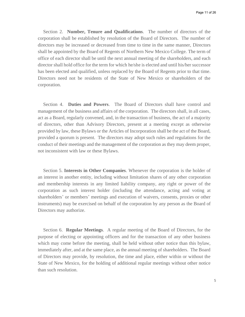Section 2. **Number, Tenure and Qualifications**. The number of directors of the corporation shall be established by resolution of the Board of Directors. The number of directors may be increased or decreased from time to time in the same manner, Directors shall be appointed by the Board of Regents of Northern New Mexico College. The term of office of each director shall be until the next annual meeting of the shareholders, and each director shall hold office for the term for which he/she is elected and until his/her successor has been elected and qualified, unless replaced by the Board of Regents prior to that time. Directors need not be residents of the State of New Mexico or shareholders of the corporation.

Section 4. **Duties and Powers**. The Board of Directors shall have control and management of the business and affairs of the corporation. The directors shall, in all cases, act as a Board, regularly convened, and, in the transaction of business, the act of a majority of directors, other than Advisory Directors, present at a meeting except as otherwise provided by law, these Bylaws or the Articles of Incorporation shall be the act of the Board, provided a quorum is present. The directors may adopt such rules and regulations for the conduct of their meetings and the management of the corporation as they may deem proper, not inconsistent with law or these Bylaws.

Section 5. **Interests in Other Companies**. Whenever the corporation is the holder of an interest in another entity, including without limitation shares of any other corporation and membership interests in any limited liability company, any right or power of the corporation as such interest holder (including the attendance, acting and voting at shareholders' or members' meetings and execution of waivers, consents, proxies or other instruments) may be exercised on behalf of the corporation by any person as the Board of Directors may authorize.

Section 6. **Regular Meetings**. A regular meeting of the Board of Directors, for the purpose of electing or appointing officers and for the transaction of any other business which may come before the meeting, shall be held without other notice than this bylaw, immediately after, and at the same place, as the annual meeting of shareholders. The Board of Directors may provide, by resolution, the time and place, either within or without the State of New Mexico, for the holding of additional regular meetings without other notice than such resolution.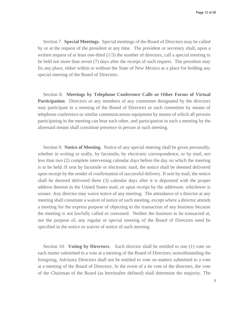Section 7. **Special Meetings**. Special meetings of the Board of Directors may be called by or at the request of the president at any time. The president or secretary shall, upon a written request of at least one-third (1/3) the number of directors, call a special meeting to be held not more than seven (7) days after the receipt of such request. The president may fix any place, either within or without the State of New Mexico as a place for holding any special meeting of the Board of Directors.

Section 8. **Meetings by Telephone Conference Calls or Other Forms of Virtual Participation.** Directors or any members of any committee designated by the directors may participate in a meeting of the Board of Directors or such committee by means of telephone conference or similar communications equipment by means of which all persons participating in the meeting can hear each other, and participation in such a meeting by the aforesaid means shall constitute presence in person at such meeting.

Section 9. **Notice of Meeting**. Notice of any special meeting shall be given personally, whether in writing or orally, by facsimile, by electronic correspondence, or by mail, not less than two (2) complete intervening calendar days before the day on which the meeting is to be held. If sent by facsimile or electronic mail, the notice shall be deemed delivered upon receipt by the sender of confirmation of successful delivery. If sent by mail, the notice shall be deemed delivered three (3) calendar days after it is deposited with the proper address thereon in the United States mail, or upon receipt by the addressee, whichever is sooner. Any director may waive notice of any meeting. The attendance of a director at any meeting shall constitute a waiver of notice of such meeting, except where a director attends a meeting for the express purpose of objecting to the transaction of any business because the meeting is not lawfully called or convened. Neither the business to be transacted at, nor the purpose of, any regular or special meeting of the Board of Directors need be specified in the notice or waiver of notice of such meeting.

Section 10. **Voting by Directors**. Each director shall be entitled to one (1) vote on each matter submitted to a vote at a meeting of the Board of Directors; notwithstanding the foregoing, Advisory Directors shall not be entitled to vote on matters submitted to a vote at a meeting of the Board of Directors. In the event of a tie vote of the directors, the vote of the Chairman of the Board (as hereinafter defined) shall determine the majority. The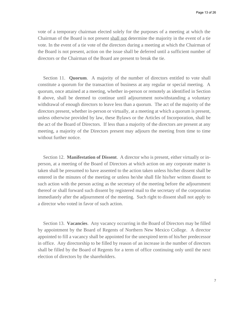vote of a temporary chairman elected solely for the purposes of a meeting at which the Chairman of the Board is not present shall not determine the majority in the event of a tie vote. In the event of a tie vote of the directors during a meeting at which the Chairman of the Board is not present, action on the issue shall be deferred until a sufficient number of directors or the Chairman of the Board are present to break the tie.

Section 11. **Quorum**. A majority of the number of directors entitled to vote shall constitute a quorum for the transaction of business at any regular or special meeting. A quorum, once attained at a meeting, whether in-person or remotely as identified in Section 8 above, shall be deemed to continue until adjournment notwithstanding a voluntary withdrawal of enough directors to leave less than a quorum. The act of the majority of the directors present, whether in-person or virtually, at a meeting at which a quorum is present, unless otherwise provided by law, these Bylaws or the Articles of Incorporation, shall be the act of the Board of Directors. If less than a majority of the directors are present at any meeting, a majority of the Directors present may adjourn the meeting from time to time without further notice.

Section 12. **Manifestation of Dissent**. A director who is present, either virtually or inperson, at a meeting of the Board of Directors at which action on any corporate matter is taken shall be presumed to have assented to the action taken unless his/her dissent shall be entered in the minutes of the meeting or unless he/she shall file his/her written dissent to such action with the person acting as the secretary of the meeting before the adjournment thereof or shall forward such dissent by registered mail to the secretary of the corporation immediately after the adjournment of the meeting. Such right to dissent shall not apply to a director who voted in favor of such action.

Section 13. **Vacancies**. Any vacancy occurring in the Board of Directors may be filled by appointment by the Board of Regents of Northern New Mexico College. A director appointed to fill a vacancy shall be appointed for the unexpired term of his/her predecessor in office. Any directorship to be filled by reason of an increase in the number of directors shall be filled by the Board of Regents for a term of office continuing only until the next election of directors by the shareholders.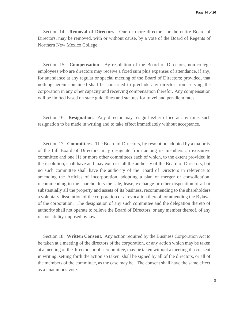Section 14. **Removal of Directors**. One or more directors, or the entire Board of Directors, may be removed, with or without cause, by a vote of the Board of Regents of Northern New Mexico College.

Section 15. **Compensation**. By resolution of the Board of Directors, non-college employees who are directors may receive a fixed sum plus expenses of attendance, if any, for attendance at any regular or special meeting of the Board of Directors; provided, that nothing herein contained shall be construed to preclude any director from serving the corporation in any other capacity and receiving compensation therefor. Any compensation will be limited based on state guidelines and statutes for travel and per-diem rates.

Section 16. **Resignation**. Any director may resign his/her office at any time, such resignation to be made in writing and to take effect immediately without acceptance.

Section 17. **Committees**. The Board of Directors, by resolution adopted by a majority of the full Board of Directors, may designate from among its members an executive committee and one (1) or more other committees each of which, to the extent provided in the resolution, shall have and may exercise all the authority of the Board of Directors, but no such committee shall have the authority of the Board of Directors in reference to amending the Articles of Incorporation, adopting a plan of merger or consolidation, recommending to the shareholders the sale, lease, exchange or other disposition of all or substantially all the property and assets of its business, recommending to the shareholders a voluntary dissolution of the corporation or a revocation thereof, or amending the Bylaws of the corporation. The designation of any such committee and the delegation thereto of authority shall not operate to relieve the Board of Directors, or any member thereof, of any responsibility imposed by law.

Section 18. **Written Consent**. Any action required by the Business Corporation Act to be taken at a meeting of the directors of the corporation, or any action which may be taken at a meeting of the directors or of a committee, may be taken without a meeting if a consent in writing, setting forth the action so taken, shall be signed by all of the directors, or all of the members of the committee, as the case may be. The consent shall have the same effect as a unanimous vote.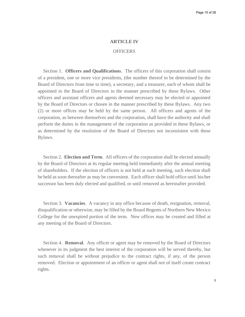#### **ARTICLE IV**

#### **OFFICERS**

Section 1. **Officers and Qualifications**. The officers of this corporation shall consist of a president, one or more vice presidents, (the number thereof to be determined by the Board of Directors from time to time), a secretary, and a treasurer, each of whom shall be appointed to the Board of Directors in the manner prescribed by these Bylaws. Other officers and assistant officers and agents deemed necessary may be elected or appointed by the Board of Directors or chosen in the manner prescribed by these Bylaws. Any two (2) or more offices may be held by the same person. All officers and agents of the corporation, as between themselves and the corporation, shall have the authority and shall perform the duties in the management of the corporation as provided in these Bylaws, or as determined by the resolution of the Board of Directors not inconsistent with these Bylaws.

Section 2. **Election and Term**. All officers of the corporation shall be elected annually by the Board of Directors at its regular meeting held immediately after the annual meeting of shareholders. If the election of officers is not held at such meeting, such election shall be held as soon thereafter as may be convenient. Each officer shall hold office until his/her successor has been duly elected and qualified, or until removed as hereinafter provided.

Section 3. **Vacancies**. A vacancy in any office because of death, resignation, removal, disqualification or otherwise, may be filled by the Board Regents of Northern New Mexico College for the unexpired portion of the term. New offices may be created and filled at any meeting of the Board of Directors.

Section 4. **Removal**. Any officer or agent may be removed by the Board of Directors whenever in its judgment the best interest of the corporation will be served thereby, but such removal shall be without prejudice to the contract rights, if any, of the person removed. Election or appointment of an officer or agent shall not of itself create contract rights.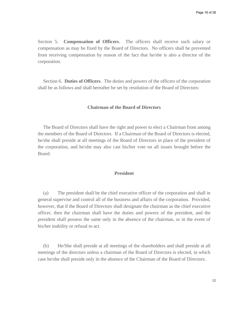Section 5. **Compensation of Officers**. The officers shall receive such salary or compensation as may be fixed by the Board of Directors. No officers shall be prevented from receiving compensation by reason of the fact that he/she is also a director of the corporation.

Section 6. **Duties of Officers**. The duties and powers of the officers of the corporation shall be as follows and shall hereafter be set by resolution of the Board of Directors:

#### **Chairman of the Board of Directors**

The Board of Directors shall have the right and power to elect a Chairman from among the members of the Board of Directors. If a Chairman of the Board of Directors is elected, he/she shall preside at all meetings of the Board of Directors in place of the president of the corporation, and he/she may also cast his/her vote on all issues brought before the Board.

#### **President**

(a) The president shall be the chief executive officer of the corporation and shall in general supervise and control all of the business and affairs of the corporation. Provided, however, that if the Board of Directors shall designate the chairman as the chief executive officer, then the chairman shall have the duties and powers of the president, and the president shall possess the same only in the absence of the chairman, or in the event of his/her inability or refusal to act.

(b) He/She shall preside at all meetings of the shareholders and shall preside at all meetings of the directors unless a chairman of the Board of Directors is elected, in which case he/she shall preside only in the absence of the Chairman of the Board of Directors.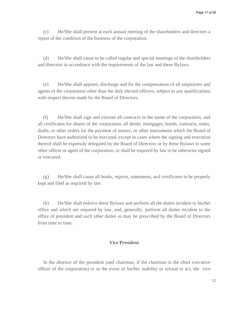(c) He/She shall present at each annual meeting of the shareholders and directors a report of the condition of the business of the corporation.

(d) He/She shall cause to be called regular and special meetings of the shareholders and directors in accordance with the requirements of the law and these Bylaws.

(e) He/She shall appoint, discharge and fix the compensation of all employees and agents of the corporation other than the duly elected officers, subject to any qualifications with respect thereto made by the Board of Directors.

(f) He/She shall sign and execute all contracts in the name of the corporation, and all certificates for shares of the corporation, all deeds, mortgages, bonds, contracts, notes, drafts, or other orders for the payment of money, or other instruments which the Board of Directors have authorized to be executed, except in cases where the signing and execution thereof shall be expressly delegated by the Board of Directors or by these Bylaws to some other officer or agent of the corporation, or shall be required by law to be otherwise signed or executed.

(g) He/She shall cause all books, reports, statements, and certificates to be properly kept and filed as required by law.

(h) He/She shall enforce these Bylaws and perform all the duties incident to his/her office and which are required by law, and, generally, perform all duties incident to the office of president and such other duties as may be prescribed by the Board of Directors from time to time.

#### **Vice President**

In the absence of the president (and chairman, if the chairman is the chief executive officer of the corporation) or in the event of his/her inability or refusal to act, the vice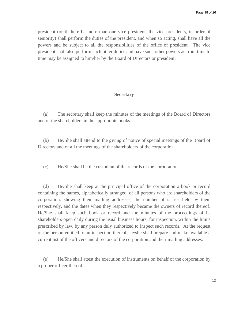president (or if there be more than one vice president, the vice presidents, in order of seniority) shall perform the duties of the president, and when so acting, shall have all the powers and be subject to all the responsibilities of the office of president. The vice president shall also perform such other duties and have such other powers as from time to time may be assigned to him/her by the Board of Directors or president.

#### **Secretary**

(a) The secretary shall keep the minutes of the meetings of the Board of Directors and of the shareholders in the appropriate books.

(b) He/She shall attend to the giving of notice of special meetings of the Board of Directors and of all the meetings of the shareholders of the corporation.

(c) He/She shall be the custodian of the records of the corporation.

(d) He/She shall keep at the principal office of the corporation a book or record containing the names, alphabetically arranged, of all persons who are shareholders of the corporation, showing their mailing addresses, the number of shares held by them respectively, and the dates when they respectively became the owners of record thereof. He/She shall keep such book or record and the minutes of the proceedings of its shareholders open daily during the usual business hours, for inspection, within the limits prescribed by law, by any person duly authorized to inspect such records. At the request of the person entitled to an inspection thereof, he/she shall prepare and make available a current list of the officers and directors of the corporation and their mailing addresses.

(e) He/She shall attest the execution of instruments on behalf of the corporation by a proper officer thereof.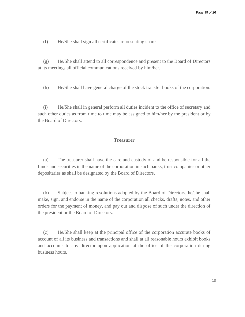(f) He/She shall sign all certificates representing shares.

(g) He/She shall attend to all correspondence and present to the Board of Directors at its meetings all official communications received by him/her.

(h) He/She shall have general charge of the stock transfer books of the corporation.

(i) He/She shall in general perform all duties incident to the office of secretary and such other duties as from time to time may be assigned to him/her by the president or by the Board of Directors.

#### **Treasurer**

(a) The treasurer shall have the care and custody of and be responsible for all the funds and securities in the name of the corporation in such banks, trust companies or other depositaries as shall be designated by the Board of Directors.

(b) Subject to banking resolutions adopted by the Board of Directors, he/she shall make, sign, and endorse in the name of the corporation all checks, drafts, notes, and other orders for the payment of money, and pay out and dispose of such under the direction of the president or the Board of Directors.

(c) He/She shall keep at the principal office of the corporation accurate books of account of all its business and transactions and shall at all reasonable hours exhibit books and accounts to any director upon application at the office of the corporation during business hours.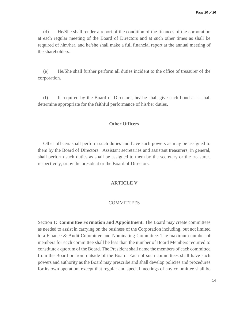(d) He/She shall render a report of the condition of the finances of the corporation at each regular meeting of the Board of Directors and at such other times as shall be required of him/her, and he/she shall make a full financial report at the annual meeting of the shareholders.

(e) He/She shall further perform all duties incident to the office of treasurer of the corporation.

(f) If required by the Board of Directors, he/she shall give such bond as it shall determine appropriate for the faithful performance of his/her duties.

#### **Other Officers**

Other officers shall perform such duties and have such powers as may be assigned to them by the Board of Directors. Assistant secretaries and assistant treasurers, in general, shall perform such duties as shall be assigned to them by the secretary or the treasurer, respectively, or by the president or the Board of Directors.

#### **ARTICLE V**

#### **COMMITTEES**

Section 1: **Committee Formation and Appointment**. The Board may create committees as needed to assist in carrying on the business of the Corporation including, but not limited to a Finance & Audit Committee and Nominating Committee. The maximum number of members for each committee shall be less than the number of Board Members required to constitute a quorum of the Board. The President shall name the members of each committee from the Board or from outside of the Board. Each of such committees shall have such powers and authority as the Board may prescribe and shall develop policies and procedures for its own operation, except that regular and special meetings of any committee shall be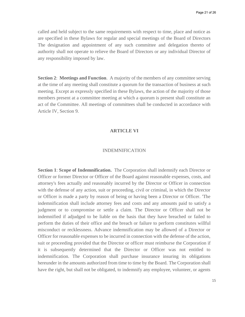called and held subject to the same requirements with respect to time, place and notice as are specified in these Bylaws for regular and special meetings of the Board of Directors The designation and appointment of any such committee and delegation thereto of authority shall not operate to relieve the Board of Directors or any individual Director of any responsibility imposed by law.

**Section 2**: **Meetings and Function**. A majority of the members of any committee serving at the time of any meeting shall constitute a quorum for the transaction of business at such meeting. Except as expressly specified in these Bylaws, the action of the majority of those members present at a committee meeting at which a quorum is present shall constitute an act of the Committee. All meetings of committees shall be conducted in accordance with Article IV, Section 9.

#### **ARTICLE VI**

#### INDEMNIFICATION

**Section 1**: **Scope of Indemnification.** The Corporation shall indemnify each Director or Officer or former Director or Officer of the Board against reasonable expenses, costs, and attorney's fees actually and reasonably incurred by the Director or Officer in connection with the defense of any action, suit or proceeding, civil or criminal, in which the Director or Officer is made a party by reason of being or having been a Director or Officer. 'The indemnification shall include attorney fees and costs and any amounts paid to satisfy a judgment or to compromise or settle a claim. The Director or Officer shall not be indemnified if adjudged to be liable on the basis that they have breached or failed to perform the duties of their office and the breach or failure to perform constitutes willful misconduct or recklessness. Advance indemnification may be allowed of a Director or Officer for reasonable expenses to be incurred in connection with the defense of the action, suit or proceeding provided that the Director or officer must reimburse the Corporation if it is subsequently determined that the Director or Officer was not entitled to indemnification. The Corporation shall purchase insurance insuring its obligations hereunder in the amounts authorized from time to time by the Board. The Corporation shall have the right, but shall not be obligated, to indemnify any employee, volunteer, or agents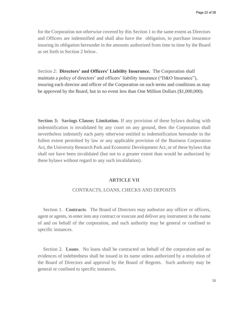for the Corporation not otherwise covered by this Section 1 to the same extent as Directors and Officers are indemnified and shall also have the obligation, to purchase insurance insuring its obligation hereunder in the amounts authorized from time to time by the Board as set forth in Section 2 below.

Section 2: **Directors' and Officers' Liability Insurance.** The Corporation shall maintain a policy of directors' and officers' liability insurance ("D&O Insurance"), insuring each director and officer of the Corporation on such terms and conditions as may be approved by the Board, but in no event less than One Million Dollars (\$1,000,000).

**Section 3: Savings Clause; Limitation.** If any provision of these bylaws dealing with indemnification is invalidated by any court on any ground, then the Corporation shall nevertheless indemnify each party otherwise entitled to indemnification hereunder to the fullest extent permitted by law or any applicable provision of the Business Corporation Act, the University Research Park and Economic Development Act, or of these bylaws that shall not have been invalidated (but not to a greater extent than would be authorized by these bylaws without regard to any such invalidation).

#### **ARTICLE VII**

#### CONTRACTS, LOANS, CHECKS AND DEPOSITS

Section 1. **Contracts**. The Board of Directors may authorize any officer or officers, agent or agents, to enter into any contract or execute and deliver any instrument in the name of and on behalf of the corporation, and such authority may be general or confined to specific instances.

Section 2. **Loans**. No loans shall be contracted on behalf of the corporation and no evidences of indebtedness shall be issued in its name unless authorized by a resolution of the Board of Directors and approval by the Board of Regents. Such authority may be general or confined to specific instances.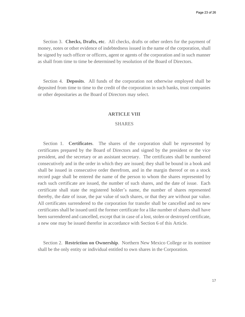Section 3. **Checks, Drafts, etc**. All checks, drafts or other orders for the payment of money, notes or other evidence of indebtedness issued in the name of the corporation, shall be signed by such officer or officers, agent or agents of the corporation and in such manner as shall from time to time be determined by resolution of the Board of Directors.

Section 4. **Deposits**. All funds of the corporation not otherwise employed shall be deposited from time to time to the credit of the corporation in such banks, trust companies or other depositaries as the Board of Directors may select.

#### **ARTICLE VIII**

#### **SHARES**

Section 1. **Certificates**. The shares of the corporation shall be represented by certificates prepared by the Board of Directors and signed by the president or the vice president, and the secretary or an assistant secretary. The certificates shall be numbered consecutively and in the order in which they are issued; they shall be bound in a book and shall be issued in consecutive order therefrom, and in the margin thereof or on a stock record page shall be entered the name of the person to whom the shares represented by each such certificate are issued, the number of such shares, and the date of issue. Each certificate shall state the registered holder's name, the number of shares represented thereby, the date of issue, the par value of such shares, or that they are without par value. All certificates surrendered to the corporation for transfer shall be cancelled and no new certificates shall be issued until the former certificate for a like number of shares shall have been surrendered and cancelled, except that in case of a lost, stolen or destroyed certificate, a new one may be issued therefor in accordance with Section 6 of this Article.

Section 2. **Restriction on Ownership**. Northern New Mexico College or its nominee shall be the only entity or individual entitled to own shares in the Corporation.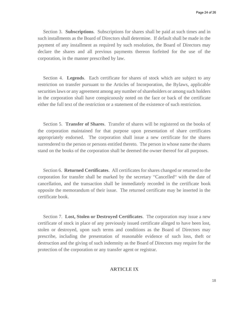Section 3. **Subscriptions**. Subscriptions for shares shall be paid at such times and in such installments as the Board of Directors shall determine. If default shall be made in the payment of any installment as required by such resolution, the Board of Directors may declare the shares and all previous payments thereon forfeited for the use of the corporation, in the manner prescribed by law.

Section 4. **Legends**. Each certificate for shares of stock which are subject to any restriction on transfer pursuant to the Articles of Incorporation, the Bylaws, applicable securities laws or any agreement among any number of shareholders or among such holders in the corporation shall have conspicuously noted on the face or back of the certificate either the full text of the restriction or a statement of the existence of such restriction.

Section 5. **Transfer of Shares**. Transfer of shares will be registered on the books of the corporation maintained for that purpose upon presentation of share certificates appropriately endorsed. The corporation shall issue a new certificate for the shares surrendered to the person or persons entitled thereto. The person in whose name the shares stand on the books of the corporation shall be deemed the owner thereof for all purposes.

Section 6. **Returned Certificates**. All certificates for shares changed or returned to the corporation for transfer shall be marked by the secretary "Cancelled" with the date of cancellation, and the transaction shall be immediately recorded in the certificate book opposite the memorandum of their issue. The returned certificate may be inserted in the certificate book.

Section 7. **Lost, Stolen or Destroyed Certificates**. The corporation may issue a new certificate of stock in place of any previously issued certificate alleged to have been lost, stolen or destroyed, upon such terms and conditions as the Board of Directors may prescribe, including the presentation of reasonable evidence of such loss, theft or destruction and the giving of such indemnity as the Board of Directors may require for the protection of the corporation or any transfer agent or registrar.

### **ARTICLE IX**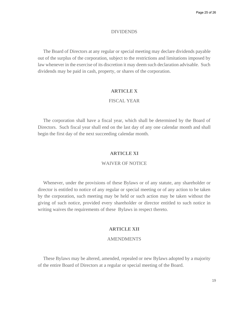#### DIVIDENDS

The Board of Directors at any regular or special meeting may declare dividends payable out of the surplus of the corporation, subject to the restrictions and limitations imposed by law whenever in the exercise of its discretion it may deem such declaration advisable. Such dividends may be paid in cash, property, or shares of the corporation.

#### **ARTICLE X**

#### FISCAL YEAR

The corporation shall have a fiscal year, which shall be determined by the Board of Directors. Such fiscal year shall end on the last day of any one calendar month and shall begin the first day of the next succeeding calendar month.

#### **ARTICLE XI**

#### WAIVER OF NOTICE

Whenever, under the provisions of these Bylaws or of any statute, any shareholder or director is entitled to notice of any regular or special meeting or of any action to be taken by the corporation, such meeting may be held or such action may be taken without the giving of such notice, provided every shareholder or director entitled to such notice in writing waives the requirements of these Bylaws in respect thereto.

#### **ARTICLE XII**

#### AMENDMENTS

These Bylaws may be altered, amended, repealed or new Bylaws adopted by a majority of the entire Board of Directors at a regular or special meeting of the Board.